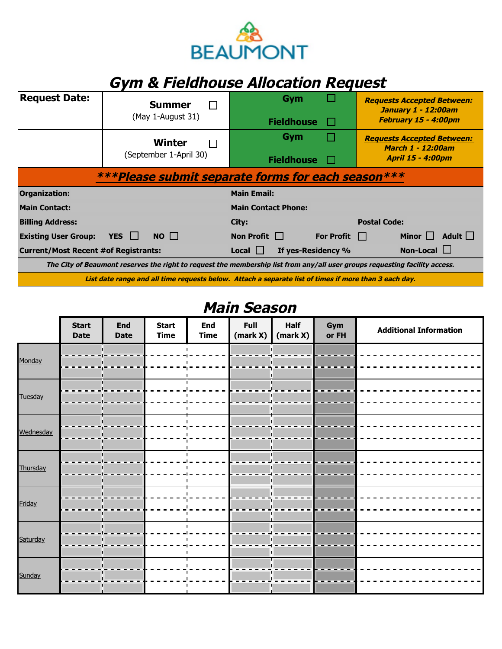

## **Gym & Fieldhouse Allocation Request**

| <b>Request Date:</b>                               | <b>Summer</b><br>(May 1-August 31) | Gym<br><b>Fieldhouse</b><br>H.                                                                                              | <b>Requests Accepted Between:</b><br>January 1 - 12:00am<br>February 15 - 4:00pm          |  |
|----------------------------------------------------|------------------------------------|-----------------------------------------------------------------------------------------------------------------------------|-------------------------------------------------------------------------------------------|--|
|                                                    | Winter<br>(September 1-April 30)   | Gym<br>P.<br><b>Fieldhouse</b>                                                                                              | <b>Requests Accepted Between:</b><br><b>March 1 - 12:00am</b><br><b>April 15 - 4:00pm</b> |  |
| ***Please submit separate forms for each season*** |                                    |                                                                                                                             |                                                                                           |  |
|                                                    |                                    |                                                                                                                             |                                                                                           |  |
| <b>Organization:</b>                               |                                    | <b>Main Email:</b>                                                                                                          |                                                                                           |  |
| <b>Main Contact:</b>                               |                                    | <b>Main Contact Phone:</b>                                                                                                  |                                                                                           |  |
| <b>Billing Address:</b>                            |                                    | City:                                                                                                                       | <b>Postal Code:</b>                                                                       |  |
| <b>Existing User Group:</b>                        | YES $\Box$<br>$NO$ $\Box$          | Non Profit $\Box$<br>For Profit $\Box$                                                                                      | Adult $\square$<br>Minor $\Box$                                                           |  |
| <b>Current/Most Recent #of Registrants:</b>        |                                    | If yes-Residency %<br>$Local$ $\Box$                                                                                        | Non-Local $\Box$                                                                          |  |
|                                                    |                                    | The City of Beaumont reserves the right to request the membership list from any/all user groups requesting facility access. |                                                                                           |  |

## **Main Season**

|           | <b>Start</b><br><b>Date</b> | <b>End</b><br><b>Date</b> | <b>Start</b><br><b>Time</b> | <b>End</b><br><b>Time</b> | Full<br>(mark X) | Half<br>(mark X) | Gym<br>or FH | <b>Additional Information</b> |
|-----------|-----------------------------|---------------------------|-----------------------------|---------------------------|------------------|------------------|--------------|-------------------------------|
| Monday    |                             |                           |                             |                           |                  |                  |              |                               |
| Tuesday   |                             |                           |                             |                           |                  |                  |              |                               |
| Wednesday |                             |                           |                             |                           |                  |                  |              |                               |
| Thursday  |                             |                           |                             |                           |                  |                  |              |                               |
|           |                             |                           |                             |                           |                  |                  |              |                               |
| Friday    |                             |                           |                             |                           |                  |                  |              |                               |
| Saturday  |                             |                           |                             |                           |                  |                  |              |                               |
| Sunday    |                             |                           |                             |                           |                  |                  |              |                               |